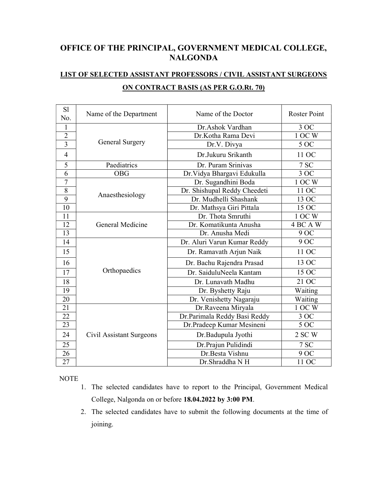## OFFICE OF THE PRINCIPAL, GOVERNMENT MEDICAL COLLEGE, NALGONDA

## LIST OF SELECTED ASSISTANT PROFESSORS / CIVIL ASSISTANT SURGEONS ON CONTRACT BASIS (AS PER G.O.Rt. 70)

| S1<br>No.      | Name of the Department   | Name of the Doctor           | <b>Roster Point</b>   |
|----------------|--------------------------|------------------------------|-----------------------|
| 1              | General Surgery          | Dr.Ashok Vardhan             | 3 OC                  |
| $\overline{2}$ |                          | Dr.Kotha Rama Devi           | 1 OC W                |
| 3              |                          | Dr.V. Divya                  | 5 OC                  |
| $\overline{4}$ |                          | Dr.Jukuru Srikanth           | 11 OC                 |
| 5              | Paediatrics              | Dr. Puram Srinivas           | 7 SC                  |
| 6              | <b>OBG</b>               | Dr. Vidya Bhargavi Edukulla  | $\overline{3}$ OC     |
| 7              | Anaesthesiology          | Dr. Sugandhini Boda          | 1 OC W                |
| 8              |                          | Dr. Shishupal Reddy Cheedeti | 11 OC                 |
| 9              |                          | Dr. Mudhelli Shashank        | 13 OC                 |
| 10             |                          | Dr. Mathsya Giri Pittala     | 15 OC                 |
| 11             | General Medicine         | Dr. Thota Smruthi            | 1 OC W                |
| 12             |                          | Dr. Komatikunta Anusha       | $\overline{4}$ BC A W |
| 13             |                          | Dr. Anusha Medi              | 9 OC                  |
| 14             | Orthopaedics             | Dr. Aluri Varun Kumar Reddy  | 9 OC                  |
| 15             |                          | Dr. Ramavath Arjun Naik      | 11 OC                 |
| 16             |                          | Dr. Bachu Rajendra Prasad    | 13 OC                 |
| 17             |                          | Dr. SaiduluNeela Kantam      | 15 OC                 |
| 18             |                          | Dr. Lunavath Madhu           | 21 OC                 |
| 19             |                          | Dr. Byshetty Raju            | Waiting               |
| 20             |                          | Dr. Venishetty Nagaraju      | Waiting               |
| 21             | Civil Assistant Surgeons | Dr.Raveena Miryala           | 1 OC W                |
| 22             |                          | Dr.Parimala Reddy Basi Reddy | 3OC                   |
| 23             |                          | Dr.Pradeep Kumar Mesineni    | 5OC                   |
| 24             |                          | Dr.Badupula Jyothi           | 2 SC W                |
| 25             |                          | Dr. Prajun Pulidindi         | 7 SC                  |
| 26             |                          | Dr.Besta Vishnu              | 9 OC                  |
| 27             |                          | Dr.Shraddha NH               | 11 OC                 |

NOTE

- 1. The selected candidates have to report to the Principal, Government Medical College, Nalgonda on or before 18.04.2022 by 3:00 PM.
- 2. The selected candidates have to submit the following documents at the time of joining.